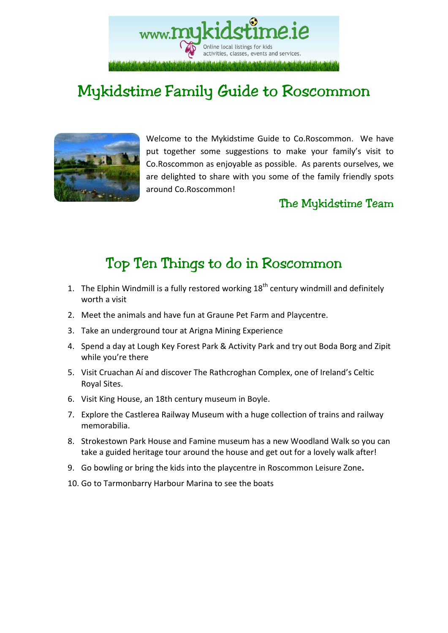www.**MU** Online local listings for kids activities, classes, events and services.

## Mykidstime Family Guide to Roscommon



Welcome to the Mykidstime Guide to Co.Roscommon. We have put together some suggestions to make your family's visit to Co.Roscommon as enjoyable as possible. As parents ourselves, we are delighted to share with you some of the family friendly spots around Co.Roscommon!

### The Mykidstime Team

## Top Ten Things to do in Roscommon

- 1. The Elphin Windmill is a fully restored working  $18<sup>th</sup>$  century windmill and definitely worth a visit
- 2. Meet the animals and have fun at Graune Pet Farm and Playcentre.
- 3. Take an underground tour at Arigna Mining Experience
- 4. Spend a day at Lough Key Forest Park & Activity Park and try out Boda Borg and Zipit while you're there
- 5. Visit Cruachan Aí and discover The Rathcroghan Complex, one of Ireland's Celtic Royal Sites.
- 6. Visit King House, an 18th century museum in Boyle.
- 7. Explore the Castlerea Railway Museum with a huge collection of trains and railway memorabilia.
- 8. Strokestown Park House and Famine museum has a new Woodland Walk so you can take a guided heritage tour around the house and get out for a lovely walk after!
- 9. Go bowling or bring the kids into the playcentre in Roscommon Leisure Zone**.**
- 10. Go to Tarmonbarry Harbour Marina to see the boats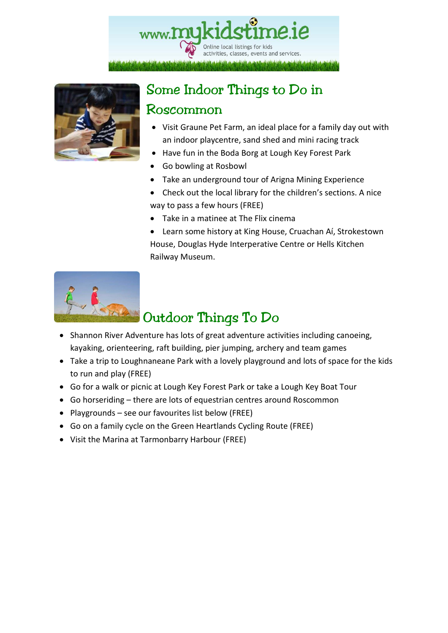



# Some Indoor Things to Do in

### Roscommon

- Visit Graune Pet Farm, an ideal place for a family day out with an indoor playcentre, sand shed and mini racing track
- Have fun in the Boda Borg at Lough Key Forest Park
- Go bowling at Rosbowl
- Take an underground tour of Arigna Mining Experience
- Check out the local library for the children's sections. A nice way to pass a few hours (FREE)
- Take in a matinee at The Flix cinema
- Learn some history at King House, Cruachan Aí, Strokestown House, Douglas Hyde Interperative Centre or Hells Kitchen Railway Museum.



## Outdoor Things To Do

- Shannon River Adventure has lots of great adventure activities including canoeing, kayaking, orienteering, raft building, pier jumping, archery and team games
- Take a trip to Loughnaneane Park with a lovely playground and lots of space for the kids to run and play (FREE)
- Go for a walk or picnic at Lough Key Forest Park or take a Lough Key Boat Tour
- Go horseriding there are lots of equestrian centres around Roscommon
- Playgrounds see our favourites list below (FREE)
- Go on a family cycle on the Green Heartlands Cycling Route (FREE)
- Visit the Marina at Tarmonbarry Harbour (FREE)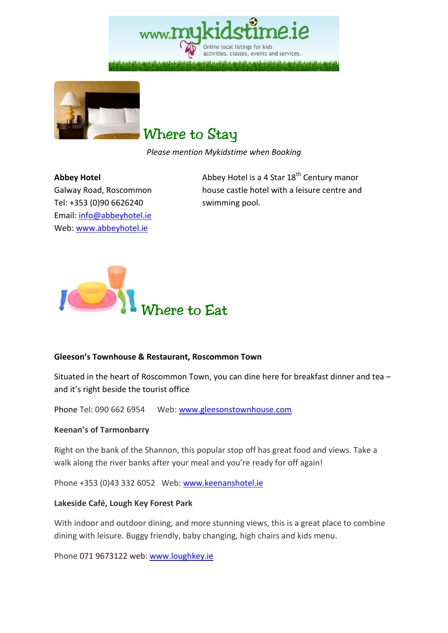Online local listings for kids activities, classes, events and services.



### Where to Stay

*Please mention Mykidstime when Booking* 

#### **Abbey Hotel**

Galway Road, Roscommon Tel: +353 (0)90 6626240 Email: info@abbeyhotel.ie Web: www.abbeyhotel.ie

Abbey Hotel is a 4 Star  $18^{th}$  Century manor house castle hotel with a leisure centre and swimming pool.



#### **Gleeson's Townhouse & Restaurant, Roscommon Town**

Situated in the heart of Roscommon Town, you can dine here for breakfast dinner and tea – and it's right beside the tourist office

Phone Tel: 090 662 6954 Web: www.gleesonstownhouse.com

#### **Keenan's of Tarmonbarry**

Right on the bank of the Shannon, this popular stop off has great food and views. Take a walk along the river banks after your meal and you're ready for off again!

Phone +353 (0)43 332 6052 Web: www.keenanshotel.ie

#### **Lakeside Café, Lough Key Forest Park**

With indoor and outdoor dining, and more stunning views, this is a great place to combine dining with leisure. Buggy friendly, baby changing, high chairs and kids menu.

Phone 071 9673122 web: www.loughkey.ie